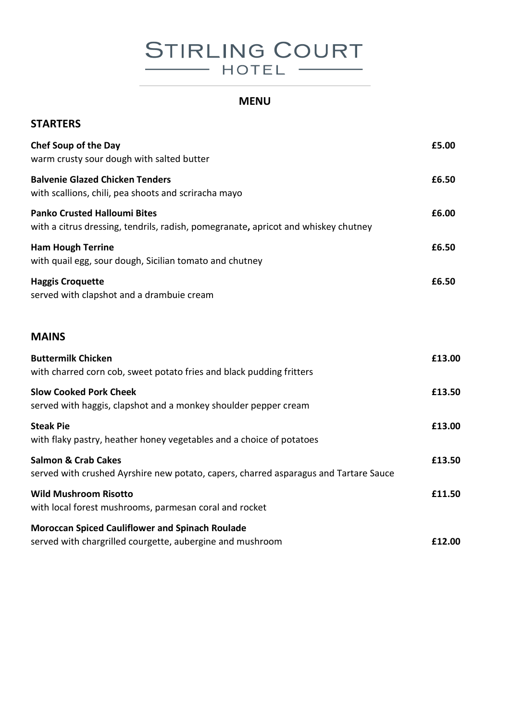# **STIRLING COURT** HOTEL

## **MENU**

| <b>STARTERS</b>                                                                                                           |        |
|---------------------------------------------------------------------------------------------------------------------------|--------|
| <b>Chef Soup of the Day</b><br>warm crusty sour dough with salted butter                                                  | £5.00  |
| <b>Balvenie Glazed Chicken Tenders</b><br>with scallions, chili, pea shoots and scriracha mayo                            | £6.50  |
| <b>Panko Crusted Halloumi Bites</b><br>with a citrus dressing, tendrils, radish, pomegranate, apricot and whiskey chutney | £6.00  |
| <b>Ham Hough Terrine</b><br>with quail egg, sour dough, Sicilian tomato and chutney                                       | £6.50  |
| <b>Haggis Croquette</b><br>served with clapshot and a drambuie cream                                                      | £6.50  |
| <b>MAINS</b>                                                                                                              |        |
| <b>Buttermilk Chicken</b><br>with charred corn cob, sweet potato fries and black pudding fritters                         | £13.00 |
| <b>Slow Cooked Pork Cheek</b><br>served with haggis, clapshot and a monkey shoulder pepper cream                          | £13.50 |
| <b>Steak Pie</b><br>with flaky pastry, heather honey vegetables and a choice of potatoes                                  | £13.00 |
| <b>Salmon &amp; Crab Cakes</b><br>served with crushed Ayrshire new potato, capers, charred asparagus and Tartare Sauce    | £13.50 |
| <b>Wild Mushroom Risotto</b><br>with local forest mushrooms, parmesan coral and rocket                                    | £11.50 |
| <b>Moroccan Spiced Cauliflower and Spinach Roulade</b><br>served with chargrilled courgette, aubergine and mushroom       | £12.00 |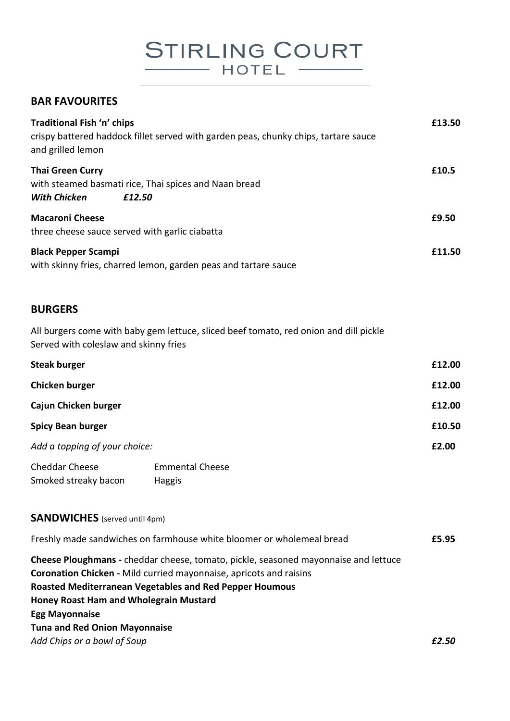**STIRLING COURT**  $-$  HOTEL  $-$ 

#### **BAR FAVOURITES**

| Traditional Fish 'n' chips<br>crispy battered haddock fillet served with garden peas, chunky chips, tartare sauce<br>and grilled lemon | £13.50 |
|----------------------------------------------------------------------------------------------------------------------------------------|--------|
| <b>Thai Green Curry</b><br>with steamed basmati rice, Thai spices and Naan bread<br><b>With Chicken</b><br>£12.50                      | £10.5  |
| <b>Macaroni Cheese</b><br>three cheese sauce served with garlic ciabatta                                                               | £9.50  |
| <b>Black Pepper Scampi</b><br>with skinny fries, charred lemon, garden peas and tartare sauce                                          | £11.50 |

#### **BURGERS**

All burgers come with baby gem lettuce, sliced beef tomato, red onion and dill pickle Served with coleslaw and skinny fries

| <b>Steak burger</b>           |                        | £12.00 |
|-------------------------------|------------------------|--------|
| Chicken burger                |                        | £12.00 |
| Cajun Chicken burger          |                        | £12.00 |
| <b>Spicy Bean burger</b>      |                        | £10.50 |
| Add a topping of your choice: |                        | £2.00  |
| <b>Cheddar Cheese</b>         | <b>Emmental Cheese</b> |        |

Smoked streaky bacon Haggis

#### **SANDWICHES** (served until 4pm)

| Freshly made sandwiches on farmhouse white bloomer or wholemeal bread                      | £5.95 |
|--------------------------------------------------------------------------------------------|-------|
| <b>Cheese Ploughmans -</b> cheddar cheese, tomato, pickle, seasoned mayonnaise and lettuce |       |
| <b>Coronation Chicken - Mild curried mayonnaise, apricots and raisins</b>                  |       |
| <b>Roasted Mediterranean Vegetables and Red Pepper Houmous</b>                             |       |
| <b>Honey Roast Ham and Wholegrain Mustard</b>                                              |       |
| <b>Egg Mayonnaise</b>                                                                      |       |
| <b>Tuna and Red Onion Mayonnaise</b>                                                       |       |
| Add Chips or a bowl of Soup                                                                | £2.50 |